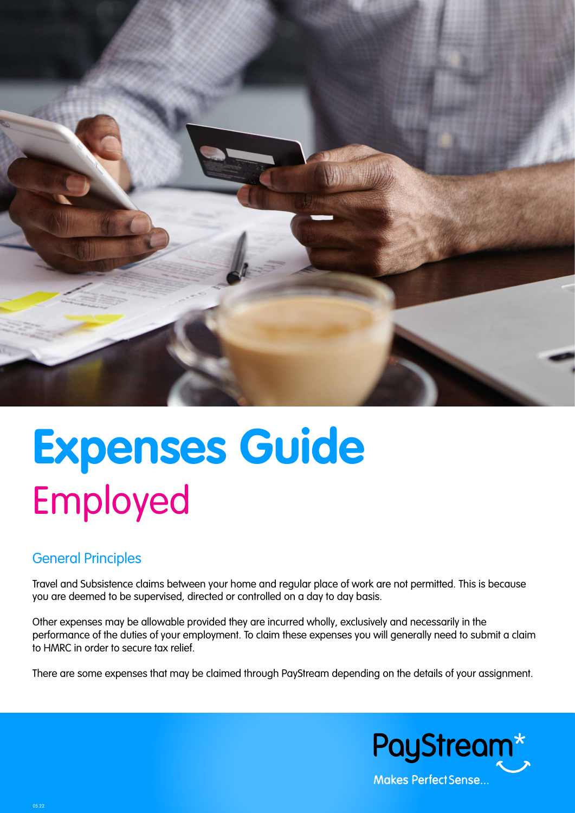

# **Expenses Guide** Employed

# General Principles

Travel and Subsistence claims between your home and regular place of work are not permitted. This is because you are deemed to be supervised, directed or controlled on a day to day basis.

Other expenses may be allowable provided they are incurred wholly, exclusively and necessarily in the performance of the duties of your employment. To claim these expenses you will generally need to submit a claim to HMRC in order to secure tax relief.

There are some expenses that may be claimed through PayStream depending on the details of your assignment.

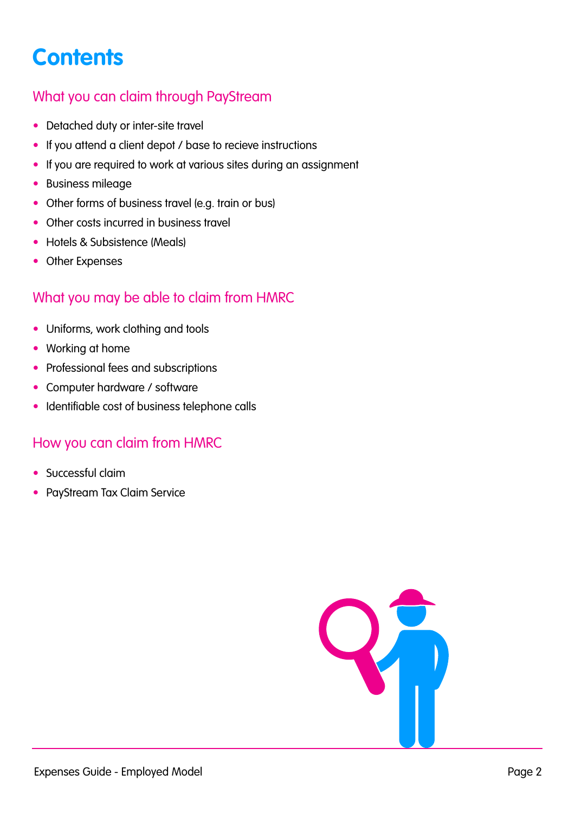# <span id="page-1-0"></span>**Contents**

# [What you can claim through PayStream](#page-2-0)

- [Detached duty or inter-site travel](#page-2-0)
- [If you attend a client depot / base to recieve instructions](#page-2-0)
- [If you are required to work at various sites during an assignment](#page-2-0)
- [Business mileage](#page-2-0)
- [Other forms of business travel \(e.g. train or bus\)](#page-2-0)
- [Other costs incurred in business travel](#page-3-0)
- [Hotels & Subsistence \(Meals\)](#page-3-0)
- [Other Expenses](#page-3-0)

# [What you may be able to claim from HMRC](#page-3-0)

- [Uniforms, work clothing and tools](#page-3-0)
- [Working at home](#page-3-0)
- [Professional fees and subscriptions](#page-4-0)
- [Computer hardware / software](#page-4-0)
- [Identifiable cost of business telephone calls](#page-4-0)

# [How you can claim from HMRC](#page-4-0)

- Successful claim
- [PayStream Tax Claim Service](#page-4-0)

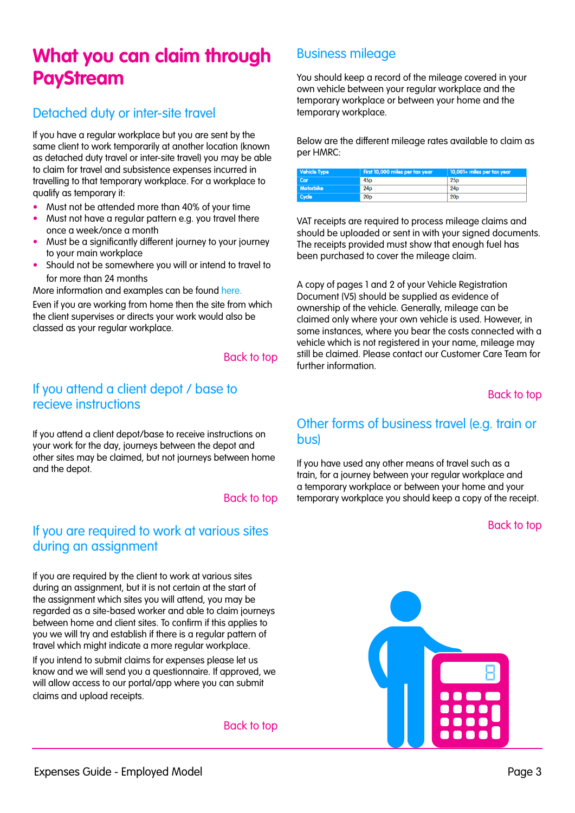# <span id="page-2-0"></span>**What you can claim through PayStream**

# Detached duty or inter-site travel

If you have a regular workplace but you are sent by the same client to work temporarily at another location (known as detached duty travel or inter-site travel) you may be able to claim for travel and subsistence expenses incurred in travelling to that temporary workplace. For a workplace to qualify as temporary it:

- Must not be attended more than 40% of your time
- Must not have a regular pattern e.g. you travel there once a week/once a month
- Must be a significantly different journey to your journey to your main workplace
- Should not be somewhere you will or intend to travel to for more than 24 months

More information and examples can be found here.

Even if you are working from home then the site from which the client supervises or directs your work would also be classed as your regular workplace.

#### [Back to top](#page-1-0)

#### If you attend a client depot / base to recieve instructions

If you attend a client depot/base to receive instructions on your work for the day, journeys between the depot and other sites may be claimed, but not journeys between home and the depot.

#### [Back to top](#page-1-0)

## If you are required to work at various sites during an assignment

If you are required by the client to work at various sites during an assignment, but it is not certain at the start of the assignment which sites you will attend, you may be regarded as a site-based worker and able to claim journeys between home and client sites. To confirm if this applies to you we will try and establish if there is a regular pattern of travel which might indicate a more regular workplace.

If you intend to submit claims for expenses please let us know and we will send you a questionnaire. If approved, we will allow access to our portal/app where you can submit claims and upload receipts.

[Back to top](#page-1-0)

# Business mileage

You should keep a record of the mileage covered in your own vehicle between your regular workplace and the temporary workplace or between your home and the temporary workplace.

Below are the different mileage rates available to claim as per HMRC:

| <b>Vehicle Type</b> | First 10,000 miles per tax year | $\vert$ 10,001+ miles per tax year |
|---------------------|---------------------------------|------------------------------------|
| Car                 | 45 <sub>D</sub>                 | 25 <sub>p</sub>                    |
| Motorbike           | 24 <sub>D</sub>                 | 24 <sub>D</sub>                    |
| Cycle               | 20 <sub>D</sub>                 | 20 <sub>p</sub>                    |

VAT receipts are required to process mileage claims and should be uploaded or sent in with your signed documents. The receipts provided must show that enough fuel has been purchased to cover the mileage claim.

A copy of pages 1 and 2 of your Vehicle Registration Document (V5) should be supplied as evidence of ownership of the vehicle. Generally, mileage can be claimed only where your own vehicle is used. However, in some instances, where you bear the costs connected with a vehicle which is not registered in your name, mileage may still be claimed. Please contact our Customer Care Team for further information.

#### [Back to top](#page-1-0)

#### Other forms of business travel (e.g. train or bus)

If you have used any other means of travel such as a train, for a journey between your regular workplace and a temporary workplace or between your home and your temporary workplace you should keep a copy of the receipt.

#### [Back to top](#page-1-0)

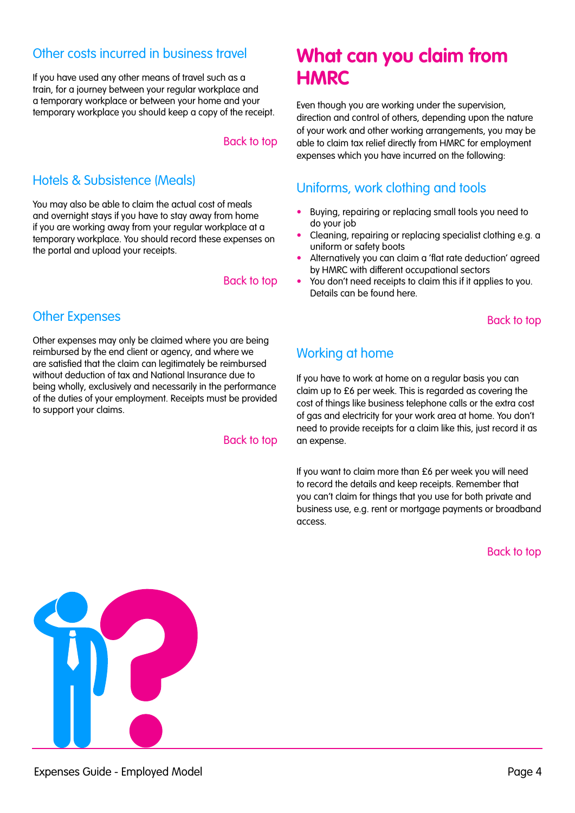#### <span id="page-3-0"></span>Other costs incurred in business travel

If you have used any other means of travel such as a train, for a journey between your regular workplace and a temporary workplace or between your home and your temporary workplace you should keep a copy of the receipt.

#### [Back to top](#page-1-0)

# Hotels & Subsistence (Meals)

You may also be able to claim the actual cost of meals and overnight stays if you have to stay away from home if you are working away from your regular workplace at a temporary workplace. You should record these expenses on the portal and upload your receipts.

#### [Back to top](#page-1-0)

# Other Expenses

Other expenses may only be claimed where you are being reimbursed by the end client or agency, and where we are satisfied that the claim can legitimately be reimbursed without deduction of tax and National Insurance due to being wholly, exclusively and necessarily in the performance of the duties of your employment. Receipts must be provided to support your claims.

#### [Back to top](#page-1-0)

# **What can you claim from HMRC**

Even though you are working under the supervision, direction and control of others, depending upon the nature of your work and other working arrangements, you may be able to claim tax relief directly from HMRC for employment expenses which you have incurred on the following:

## Uniforms, work clothing and tools

- Buying, repairing or replacing small tools you need to do your job
- Cleaning, repairing or replacing specialist clothing e.g. a uniform or safety boots
- Alternatively you can claim a 'flat rate deduction' agreed by HMRC with different occupational sectors
- You don't need receipts to claim this if it applies to you. Details can be found here.

#### [Back to top](#page-1-0)

# Working at home

If you have to work at home on a regular basis you can claim up to £6 per week. This is regarded as covering the cost of things like business telephone calls or the extra cost of gas and electricity for your work area at home. You don't need to provide receipts for a claim like this, just record it as an expense.

If you want to claim more than £6 per week you will need to record the details and keep receipts. Remember that you can't claim for things that you use for both private and business use, e.g. rent or mortgage payments or broadband access.

[Back to top](#page-1-0)

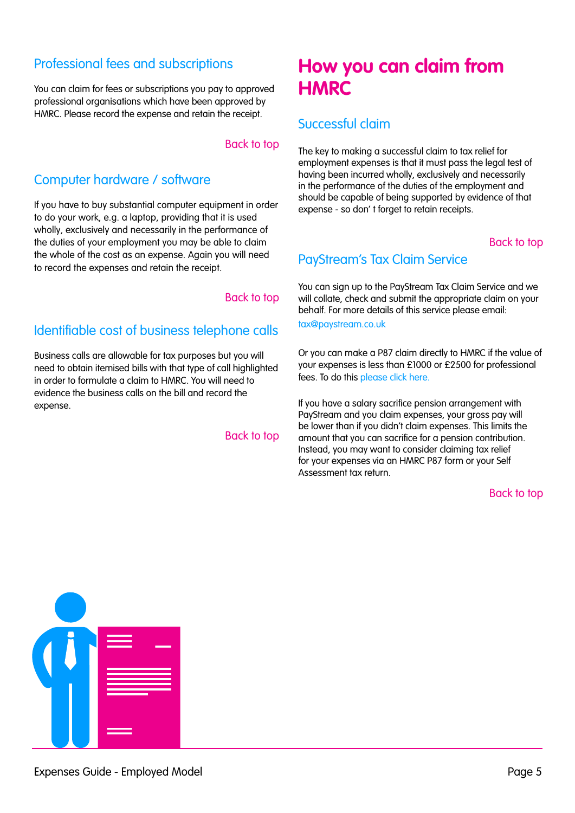# <span id="page-4-0"></span>Professional fees and subscriptions

You can claim for fees or subscriptions you pay to approved professional organisations which have been approved by HMRC. Please record the expense and retain the receipt.

#### [Back to top](#page-1-0)

# Computer hardware / software

If you have to buy substantial computer equipment in order to do your work, e.g. a laptop, providing that it is used wholly, exclusively and necessarily in the performance of the duties of your employment you may be able to claim the whole of the cost as an expense. Again you will need to record the expenses and retain the receipt.

#### [Back to top](#page-1-0)

# Identifiable cost of business telephone calls

Business calls are allowable for tax purposes but you will need to obtain itemised bills with that type of call highlighted in order to formulate a claim to HMRC. You will need to evidence the business calls on the bill and record the expense.

#### [Back to top](#page-1-0)

# **How you can claim from HMRC**

## Successful claim

The key to making a successful claim to tax relief for employment expenses is that it must pass the legal test of having been incurred wholly, exclusively and necessarily in the performance of the duties of the employment and should be capable of being supported by evidence of that expense - so don' t forget to retain receipts.

#### [Back to top](#page-1-0)

#### PayStream's Tax Claim Service

You can sign up to the PayStream Tax Claim Service and we will collate, check and submit the appropriate claim on your behalf. For more details of this service please email:

#### [tax@paystream.co.uk](mailto:tax%40paystream.co.uk%20?subject=)

Or you can make a P87 claim directly to HMRC if the value of your expenses is less than £1000 or £2500 for professional fees. To do this [please click here.](https://www.gov.uk/guidance/claim-income-tax-relief-for-your-employment-expenses-p87)

If you have a salary sacrifice pension arrangement with PayStream and you claim expenses, your gross pay will be lower than if you didn't claim expenses. This limits the amount that you can sacrifice for a pension contribution. Instead, you may want to consider claiming tax relief for your expenses via an HMRC P87 form or your Self Assessment tax return.

#### [Back to top](#page-1-0)